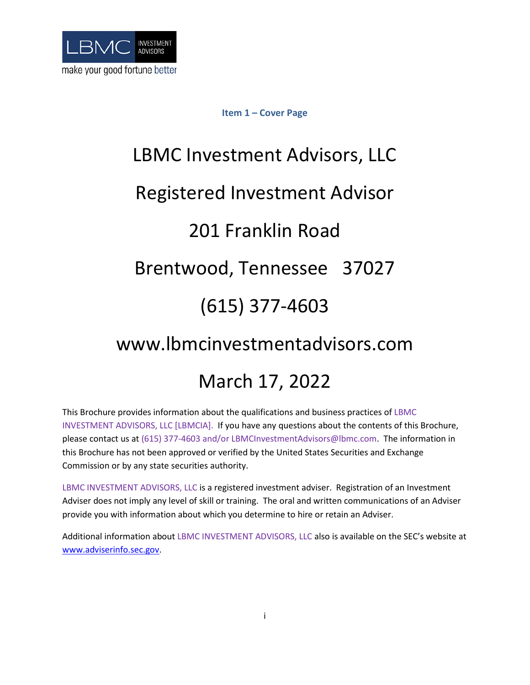<span id="page-0-0"></span>

# **Item 1 – Cover Page**

# LBMC Investment Advisors, LLC Registered Investment Advisor 201 Franklin Road Brentwood, Tennessee 37027 (615) 377-4603 www.lbmcinvestmentadvisors.com March 17, 2022

This Brochure provides information about the qualifications and business practices of LBMC INVESTMENT ADVISORS, LLC [LBMCIA]. If you have any questions about the contents of this Brochure, please contact us at (615) 377-4603 and/or LBMCInvestmentAdvisors@lbmc.com. The information in this Brochure has not been approved or verified by the United States Securities and Exchange Commission or by any state securities authority.

LBMC INVESTMENT ADVISORS, LLC is a registered investment adviser. Registration of an Investment Adviser does not imply any level of skill or training. The oral and written communications of an Adviser provide you with information about which you determine to hire or retain an Adviser.

Additional information about LBMC INVESTMENT ADVISORS, LLC also is available on the SEC's website at [www.adviserinfo.sec.gov.](http://www.adviserinfo.sec.gov/)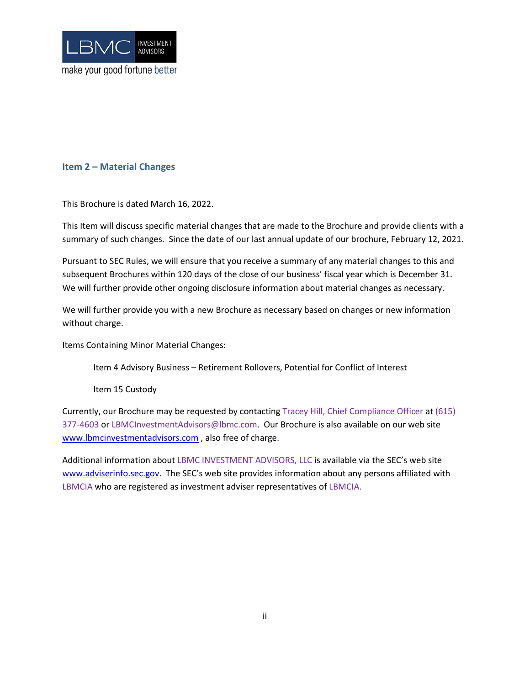

# <span id="page-1-0"></span>**Item 2 – Material Changes**

This Brochure is dated March 16, 2022.

This Item will discuss specific material changes that are made to the Brochure and provide clients with a summary of such changes. Since the date of our last annual update of our brochure, February 12, 2021.

Pursuant to SEC Rules, we will ensure that you receive a summary of any material changes to this and subsequent Brochures within 120 days of the close of our business' fiscal year which is December 31. We will further provide other ongoing disclosure information about material changes as necessary.

We will further provide you with a new Brochure as necessary based on changes or new information without charge.

Items Containing Minor Material Changes:

Item 4 Advisory Business – Retirement Rollovers, Potential for Conflict of Interest

Item 15 Custody

Currently, our Brochure may be requested by contacting Tracey Hill, Chief Compliance Officer at (615) 377-4603 or LBMCInvestmentAdvisors@lbmc.com. Our Brochure is also available on our web site [www.lbmcinvestmentadvisors.com](http://www.lbmcinvestmentadvisors.com/), also free of charge.

<span id="page-1-1"></span>Additional information about LBMC INVESTMENT ADVISORS, LLC is available via the SEC's web site [www.adviserinfo.sec.gov.](http://www.adviserinfo.sec.gov/) The SEC's web site provides information about any persons affiliated with LBMCIA who are registered as investment adviser representatives of LBMCIA.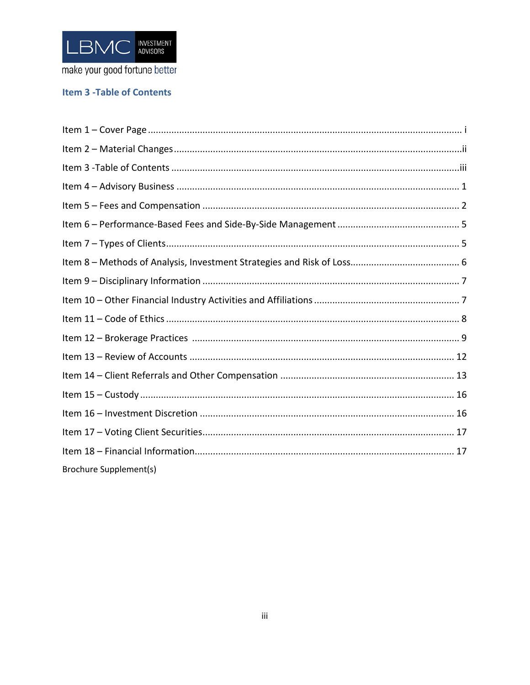

# **Item 3 - Table of Contents**

| <b>Brochure Supplement(s)</b> |
|-------------------------------|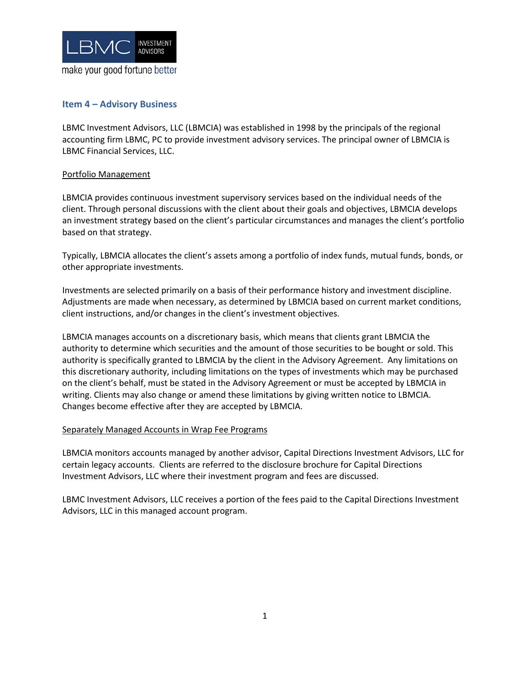

# <span id="page-3-0"></span>**Item 4 – Advisory Business**

LBMC Investment Advisors, LLC (LBMCIA) was established in 1998 by the principals of the regional accounting firm LBMC, PC to provide investment advisory services. The principal owner of LBMCIA is LBMC Financial Services, LLC.

#### Portfolio Management

LBMCIA provides continuous investment supervisory services based on the individual needs of the client. Through personal discussions with the client about their goals and objectives, LBMCIA develops an investment strategy based on the client's particular circumstances and manages the client's portfolio based on that strategy.

Typically, LBMCIA allocates the client's assets among a portfolio of index funds, mutual funds, bonds, or other appropriate investments.

Investments are selected primarily on a basis of their performance history and investment discipline. Adjustments are made when necessary, as determined by LBMCIA based on current market conditions, client instructions, and/or changes in the client's investment objectives.

LBMCIA manages accounts on a discretionary basis, which means that clients grant LBMCIA the authority to determine which securities and the amount of those securities to be bought or sold. This authority is specifically granted to LBMCIA by the client in the Advisory Agreement. Any limitations on this discretionary authority, including limitations on the types of investments which may be purchased on the client's behalf, must be stated in the Advisory Agreement or must be accepted by LBMCIA in writing. Clients may also change or amend these limitations by giving written notice to LBMCIA. Changes become effective after they are accepted by LBMCIA.

#### Separately Managed Accounts in Wrap Fee Programs

LBMCIA monitors accounts managed by another advisor, Capital Directions Investment Advisors, LLC for certain legacy accounts. Clients are referred to the disclosure brochure for Capital Directions Investment Advisors, LLC where their investment program and fees are discussed.

LBMC Investment Advisors, LLC receives a portion of the fees paid to the Capital Directions Investment Advisors, LLC in this managed account program.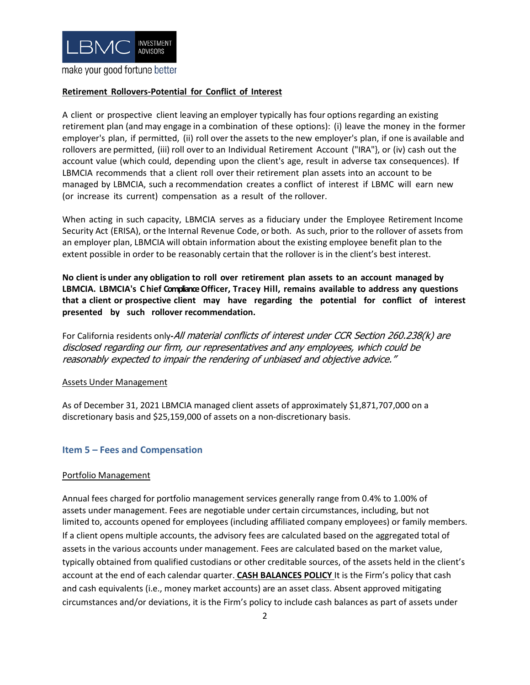

#### **Retirement Rollovers-Potential for Conflict of Interest**

A client or prospective client leaving an employer typically has four options regarding an existing retirement plan (and may engage in a combination of these options): (i) leave the money in the former employer's plan, if permitted, (ii) roll over the assets to the new employer's plan, if one is available and rollovers are permitted, (iii) roll over to an Individual Retirement Account ("IRA"}, or (iv) cash out the account value (which could, depending upon the client's age, result in adverse tax consequences). If LBMCIA recommends that a client roll over their retirement plan assets into an account to be managed by LBMCIA, such a recommendation creates a conflict of interest if LBMC will earn new (or increase its current) compensation as a result of the rollover.

When acting in such capacity, LBMCIA serves as a fiduciary under the Employee Retirement Income Security Act (ERISA), orthe Internal Revenue Code, or both. As such, prior to the rollover of assets from an employer plan, LBMCIA will obtain information about the existing employee benefit plan to the extent possible in order to be reasonably certain that the rollover is in the client's best interest.

**No client is under any obligation to roll over retirement plan assets to an account managed by LBMCIA. LBMCIA's C hief ComplianceOfficer, Tracey Hill, remains available to address any questions that a client or prospective client may have regarding the potential for conflict of interest presented by such rollover recommendation.**

For California residents only**-**All material conflicts of interest under CCR Section 260.238(k) are disclosed regarding our firm, our representatives and any employees, which could be reasonably expected to impair the rendering of unbiased and objective advice."

#### Assets Under Management

<span id="page-4-0"></span>As of December 31, 2021 LBMCIA managed client assets of approximately \$1,871,707,000 on a discretionary basis and \$25,159,000 of assets on a non-discretionary basis.

#### **Item 5 – Fees and Compensation**

#### Portfolio Management

Annual fees charged for portfolio management services generally range from 0.4% to 1.00% of assets under management. Fees are negotiable under certain circumstances, including, but not limited to, accounts opened for employees (including affiliated company employees) or family members. If a client opens multiple accounts, the advisory fees are calculated based on the aggregated total of assets in the various accounts under management. Fees are calculated based on the market value, typically obtained from qualified custodians or other creditable sources, of the assets held in the client's account at the end of each calendar quarter. **CASH BALANCES POLICY** It is the Firm's policy that cash and cash equivalents (i.e., money market accounts) are an asset class. Absent approved mitigating circumstances and/or deviations, it is the Firm's policy to include cash balances as part of assets under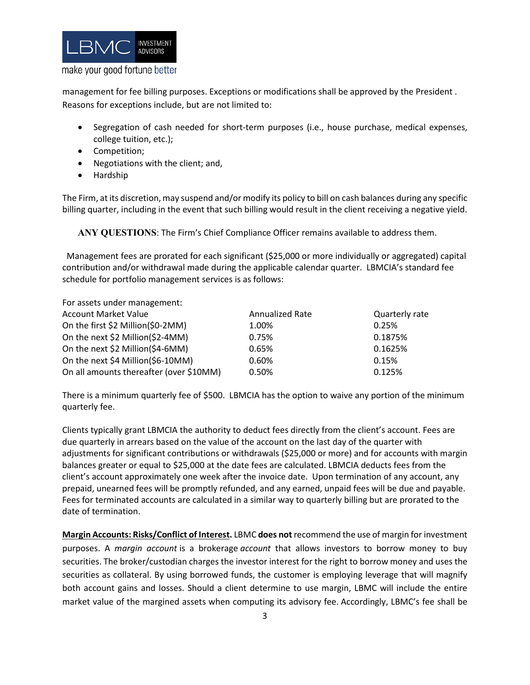

management for fee billing purposes. Exceptions or modifications shall be approved by the President . Reasons for exceptions include, but are not limited to:

- Segregation of cash needed for short-term purposes (i.e., house purchase, medical expenses, college tuition, etc.);
- Competition;
- Negotiations with the client; and,
- Hardship

The Firm, at its discretion, may suspend and/or modify its policy to bill on cash balances during any specific billing quarter, including in the event that such billing would result in the client receiving a negative yield.

**ANY QUESTIONS**: The Firm's Chief Compliance Officer remains available to address them.

 Management fees are prorated for each significant (\$25,000 or more individually or aggregated) capital contribution and/or withdrawal made during the applicable calendar quarter. LBMCIA's standard fee schedule for portfolio management services is as follows:

For assets under management:

| <b>Account Market Value</b>             | <b>Annualized Rate</b> | Quarterly rate |
|-----------------------------------------|------------------------|----------------|
| On the first \$2 Million(\$0-2MM)       | 1.00%                  | 0.25%          |
| On the next \$2 Million(\$2-4MM)        | 0.75%                  | 0.1875%        |
| On the next \$2 Million(\$4-6MM)        | 0.65%                  | 0.1625%        |
| On the next \$4 Million(\$6-10MM)       | 0.60%                  | 0.15%          |
| On all amounts thereafter (over \$10MM) | 0.50%                  | 0.125%         |

There is a minimum quarterly fee of \$500. LBMCIA has the option to waive any portion of the minimum quarterly fee.

Clients typically grant LBMCIA the authority to deduct fees directly from the client's account. Fees are due quarterly in arrears based on the value of the account on the last day of the quarter with adjustments for significant contributions or withdrawals (\$25,000 or more) and for accounts with margin balances greater or equal to \$25,000 at the date fees are calculated. LBMCIA deducts fees from the client's account approximately one week after the invoice date. Upon termination of any account, any prepaid, unearned fees will be promptly refunded, and any earned, unpaid fees will be due and payable. Fees for terminated accounts are calculated in a similar way to quarterly billing but are prorated to the date of termination.

**Margin Accounts: Risks/Conflict of Interest.** LBMC **does not** recommend the use of margin for investment purposes. A *margin account* is a brokerage *account* that allows investors to borrow money to buy securities. The broker/custodian charges the investor interest for the right to borrow money and uses the securities as collateral. By using borrowed funds, the customer is employing leverage that will magnify both account gains and losses. Should a client determine to use margin, LBMC will include the entire market value of the margined assets when computing its advisory fee. Accordingly, LBMC's fee shall be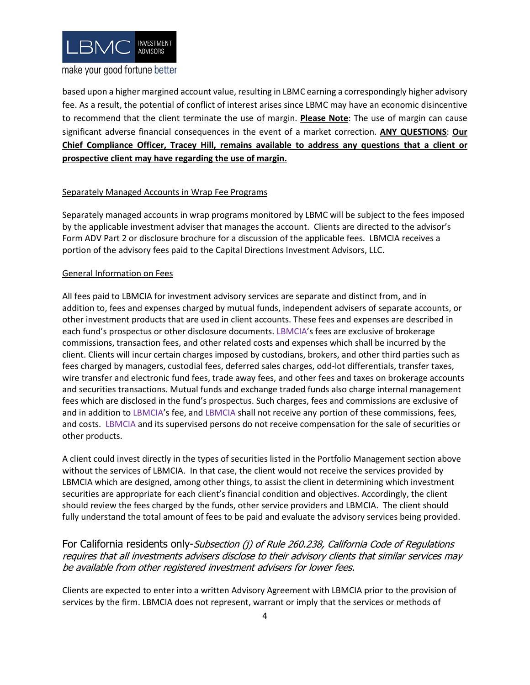

based upon a higher margined account value, resulting in LBMC earning a correspondingly higher advisory fee. As a result, the potential of conflict of interest arises since LBMC may have an economic disincentive to recommend that the client terminate the use of margin. **Please Note**: The use of margin can cause significant adverse financial consequences in the event of a market correction. **ANY QUESTIONS**: **Our Chief Compliance Officer, Tracey Hill, remains available to address any questions that a client or prospective client may have regarding the use of margin.**

#### Separately Managed Accounts in Wrap Fee Programs

Separately managed accounts in wrap programs monitored by LBMC will be subject to the fees imposed by the applicable investment adviser that manages the account. Clients are directed to the advisor's Form ADV Part 2 or disclosure brochure for a discussion of the applicable fees. LBMCIA receives a portion of the advisory fees paid to the Capital Directions Investment Advisors, LLC.

#### General Information on Fees

All fees paid to LBMCIA for investment advisory services are separate and distinct from, and in addition to, fees and expenses charged by mutual funds, independent advisers of separate accounts, or other investment products that are used in client accounts. These fees and expenses are described in each fund's prospectus or other disclosure documents. LBMCIA's fees are exclusive of brokerage commissions, transaction fees, and other related costs and expenses which shall be incurred by the client. Clients will incur certain charges imposed by custodians, brokers, and other third parties such as fees charged by managers, custodial fees, deferred sales charges, odd-lot differentials, transfer taxes, wire transfer and electronic fund fees, trade away fees, and other fees and taxes on brokerage accounts and securities transactions. Mutual funds and exchange traded funds also charge internal management fees which are disclosed in the fund's prospectus. Such charges, fees and commissions are exclusive of and in addition to LBMCIA's fee, and LBMCIA shall not receive any portion of these commissions, fees, and costs. LBMCIA and its supervised persons do not receive compensation for the sale of securities or other products.

A client could invest directly in the types of securities listed in the Portfolio Management section above without the services of LBMCIA. In that case, the client would not receive the services provided by LBMCIA which are designed, among other things, to assist the client in determining which investment securities are appropriate for each client's financial condition and objectives. Accordingly, the client should review the fees charged by the funds, other service providers and LBMCIA. The client should fully understand the total amount of fees to be paid and evaluate the advisory services being provided.

# For California residents only-Subsection (i) of Rule 260.238, California Code of Regulations requires that all investments advisers disclose to their advisory clients that similar services may be available from other registered investment advisers for lower fees.

Clients are expected to enter into a written Advisory Agreement with LBMCIA prior to the provision of services by the firm. LBMCIA does not represent, warrant or imply that the services or methods of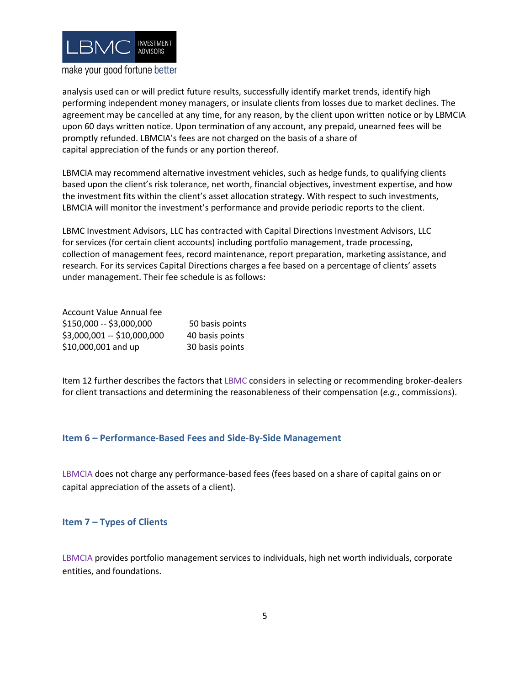

analysis used can or will predict future results, successfully identify market trends, identify high performing independent money managers, or insulate clients from losses due to market declines. The agreement may be cancelled at any time, for any reason, by the client upon written notice or by LBMCIA upon 60 days written notice. Upon termination of any account, any prepaid, unearned fees will be promptly refunded. LBMCIA's fees are not charged on the basis of a share of capital appreciation of the funds or any portion thereof.

LBMCIA may recommend alternative investment vehicles, such as hedge funds, to qualifying clients based upon the client's risk tolerance, net worth, financial objectives, investment expertise, and how the investment fits within the client's asset allocation strategy. With respect to such investments, LBMCIA will monitor the investment's performance and provide periodic reports to the client.

LBMC Investment Advisors, LLC has contracted with Capital Directions Investment Advisors, LLC for services (for certain client accounts) including portfolio management, trade processing, collection of management fees, record maintenance, report preparation, marketing assistance, and research. For its services Capital Directions charges a fee based on a percentage of clients' assets under management. Their fee schedule is as follows:

| Account Value Annual fee    |                 |
|-----------------------------|-----------------|
| \$150,000 -- \$3,000,000    | 50 basis points |
| \$3,000,001 -- \$10,000,000 | 40 basis points |
| \$10,000,001 and up         | 30 basis points |

Item 12 further describes the factors that LBMC considers in selecting or recommending broker-dealers for client transactions and determining the reasonableness of their compensation (*e.g.*, commissions).

#### <span id="page-7-0"></span>**Item 6 – Performance-Based Fees and Side-By-Side Management**

LBMCIA does not charge any performance-based fees (fees based on a share of capital gains on or capital appreciation of the assets of a client).

#### <span id="page-7-1"></span>**Item 7 – Types of Clients**

LBMCIA provides portfolio management services to individuals, high net worth individuals, corporate entities, and foundations.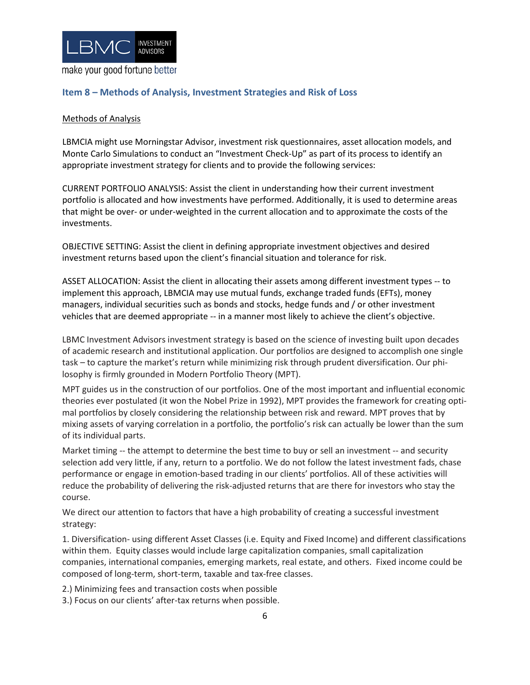

# <span id="page-8-0"></span>**Item 8 – Methods of Analysis, Investment Strategies and Risk of Loss**

#### Methods of Analysis

LBMCIA might use Morningstar Advisor, investment risk questionnaires, asset allocation models, and Monte Carlo Simulations to conduct an "Investment Check-Up" as part of its process to identify an appropriate investment strategy for clients and to provide the following services:

CURRENT PORTFOLIO ANALYSIS: Assist the client in understanding how their current investment portfolio is allocated and how investments have performed. Additionally, it is used to determine areas that might be over- or under-weighted in the current allocation and to approximate the costs of the investments.

OBJECTIVE SETTING: Assist the client in defining appropriate investment objectives and desired investment returns based upon the client's financial situation and tolerance for risk.

ASSET ALLOCATION: Assist the client in allocating their assets among different investment types -- to implement this approach, LBMCIA may use mutual funds, exchange traded funds (EFTs), money managers, individual securities such as bonds and stocks, hedge funds and / or other investment vehicles that are deemed appropriate -- in a manner most likely to achieve the client's objective.

LBMC Investment Advisors investment strategy is based on the science of investing built upon decades of academic research and institutional application. Our portfolios are designed to accomplish one single task – to capture the market's return while minimizing risk through prudent diversification. Our philosophy is firmly grounded in Modern Portfolio Theory (MPT).

MPT guides us in the construction of our portfolios. One of the most important and influential economic theories ever postulated (it won the Nobel Prize in 1992), MPT provides the framework for creating optimal portfolios by closely considering the relationship between risk and reward. MPT proves that by mixing assets of varying correlation in a portfolio, the portfolio's risk can actually be lower than the sum of its individual parts.

Market timing -- the attempt to determine the best time to buy or sell an investment -- and security selection add very little, if any, return to a portfolio. We do not follow the latest investment fads, chase performance or engage in emotion-based trading in our clients' portfolios. All of these activities will reduce the probability of delivering the risk-adjusted returns that are there for investors who stay the course.

We direct our attention to factors that have a high probability of creating a successful investment strategy:

1. Diversification- using different Asset Classes (i.e. Equity and Fixed Income) and different classifications within them. Equity classes would include large capitalization companies, small capitalization companies, international companies, emerging markets, real estate, and others. Fixed income could be composed of long-term, short-term, taxable and tax-free classes.

2.) Minimizing fees and transaction costs when possible

3.) Focus on our clients' after-tax returns when possible.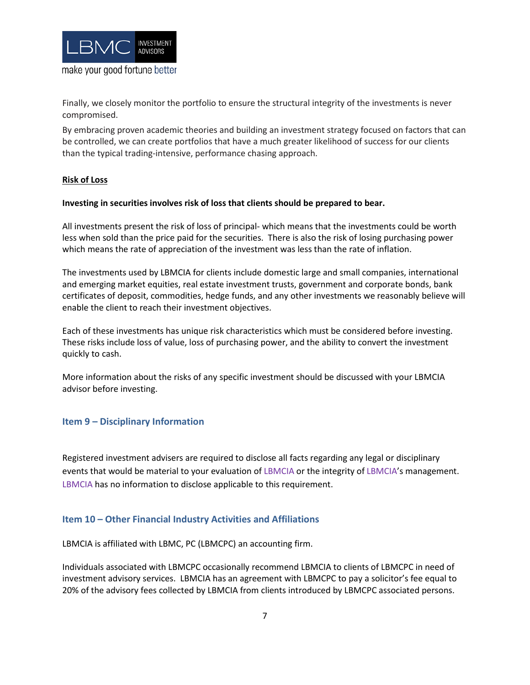

Finally, we closely monitor the portfolio to ensure the structural integrity of the investments is never compromised.

By embracing proven academic theories and building an investment strategy focused on factors that can be controlled, we can create portfolios that have a much greater likelihood of success for our clients than the typical trading-intensive, performance chasing approach.

#### **Risk of Loss**

#### **Investing in securities involves risk of loss that clients should be prepared to bear.**

All investments present the risk of loss of principal- which means that the investments could be worth less when sold than the price paid for the securities. There is also the risk of losing purchasing power which means the rate of appreciation of the investment was less than the rate of inflation.

The investments used by LBMCIA for clients include domestic large and small companies, international and emerging market equities, real estate investment trusts, government and corporate bonds, bank certificates of deposit, commodities, hedge funds, and any other investments we reasonably believe will enable the client to reach their investment objectives.

Each of these investments has unique risk characteristics which must be considered before investing. These risks include loss of value, loss of purchasing power, and the ability to convert the investment quickly to cash.

<span id="page-9-0"></span>More information about the risks of any specific investment should be discussed with your LBMCIA advisor before investing.

# **Item 9 – Disciplinary Information**

Registered investment advisers are required to disclose all facts regarding any legal or disciplinary events that would be material to your evaluation of LBMCIA or the integrity of LBMCIA's management. LBMCIA has no information to disclose applicable to this requirement.

#### <span id="page-9-1"></span>**Item 10 – Other Financial Industry Activities and Affiliations**

LBMCIA is affiliated with LBMC, PC (LBMCPC) an accounting firm.

Individuals associated with LBMCPC occasionally recommend LBMCIA to clients of LBMCPC in need of investment advisory services. LBMCIA has an agreement with LBMCPC to pay a solicitor's fee equal to 20% of the advisory fees collected by LBMCIA from clients introduced by LBMCPC associated persons.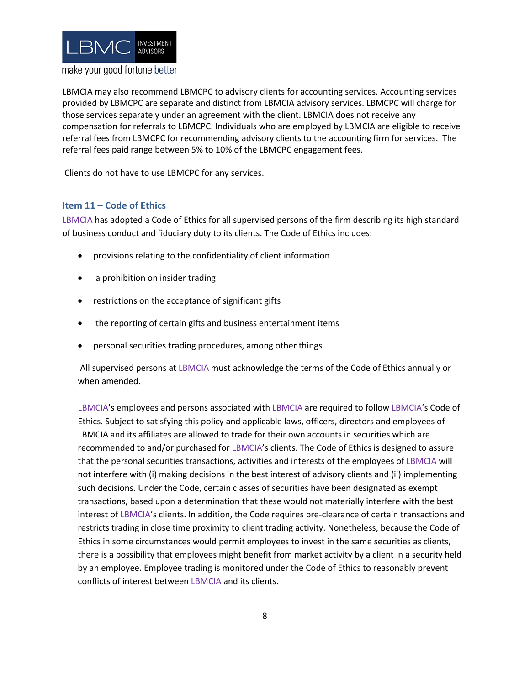

LBMCIA may also recommend LBMCPC to advisory clients for accounting services. Accounting services provided by LBMCPC are separate and distinct from LBMCIA advisory services. LBMCPC will charge for those services separately under an agreement with the client. LBMCIA does not receive any compensation for referrals to LBMCPC. Individuals who are employed by LBMCIA are eligible to receive referral fees from LBMCPC for recommending advisory clients to the accounting firm for services. The referral fees paid range between 5% to 10% of the LBMCPC engagement fees.

<span id="page-10-0"></span>Clients do not have to use LBMCPC for any services.

# **Item 11 – Code of Ethics**

LBMCIA has adopted a Code of Ethics for all supervised persons of the firm describing its high standard of business conduct and fiduciary duty to its clients. The Code of Ethics includes:

- provisions relating to the confidentiality of client information
- a prohibition on insider trading
- restrictions on the acceptance of significant gifts
- the reporting of certain gifts and business entertainment items
- personal securities trading procedures, among other things.

All supervised persons at LBMCIA must acknowledge the terms of the Code of Ethics annually or when amended.

LBMCIA's employees and persons associated with LBMCIA are required to follow LBMCIA's Code of Ethics. Subject to satisfying this policy and applicable laws, officers, directors and employees of LBMCIA and its affiliates are allowed to trade for their own accounts in securities which are recommended to and/or purchased for LBMCIA's clients. The Code of Ethics is designed to assure that the personal securities transactions, activities and interests of the employees of LBMCIA will not interfere with (i) making decisions in the best interest of advisory clients and (ii) implementing such decisions. Under the Code, certain classes of securities have been designated as exempt transactions, based upon a determination that these would not materially interfere with the best interest of LBMCIA's clients. In addition, the Code requires pre-clearance of certain transactions and restricts trading in close time proximity to client trading activity. Nonetheless, because the Code of Ethics in some circumstances would permit employees to invest in the same securities as clients, there is a possibility that employees might benefit from market activity by a client in a security held by an employee. Employee trading is monitored under the Code of Ethics to reasonably prevent conflicts of interest between LBMCIA and its clients.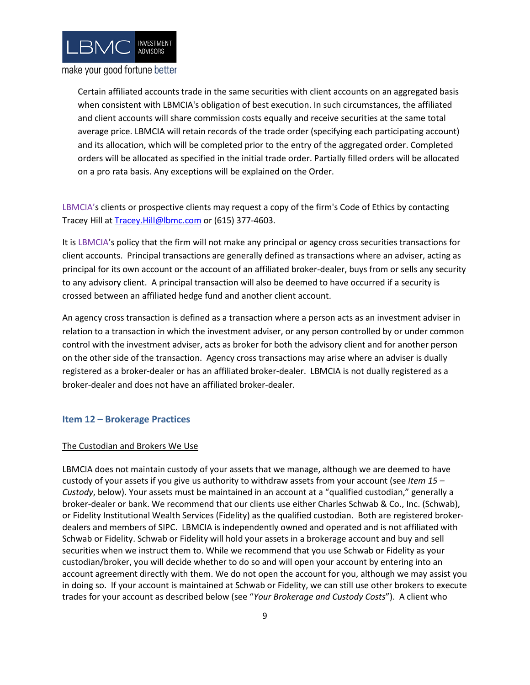

Certain affiliated accounts trade in the same securities with client accounts on an aggregated basis when consistent with LBMCIA's obligation of best execution. In such circumstances, the affiliated and client accounts will share commission costs equally and receive securities at the same total average price. LBMCIA will retain records of the trade order (specifying each participating account) and its allocation, which will be completed prior to the entry of the aggregated order. Completed orders will be allocated as specified in the initial trade order. Partially filled orders will be allocated on a pro rata basis. Any exceptions will be explained on the Order.

LBMCIA's clients or prospective clients may request a copy of the firm's Code of Ethics by contacting Tracey Hill a[t Tracey.Hill@lbmc.com](mailto:Tracey.Hill@lbmc.com) or (615) 377-4603.

It is LBMCIA's policy that the firm will not make any principal or agency cross securities transactions for client accounts. Principal transactions are generally defined as transactions where an adviser, acting as principal for its own account or the account of an affiliated broker-dealer, buys from or sells any security to any advisory client. A principal transaction will also be deemed to have occurred if a security is crossed between an affiliated hedge fund and another client account.

An agency cross transaction is defined as a transaction where a person acts as an investment adviser in relation to a transaction in which the investment adviser, or any person controlled by or under common control with the investment adviser, acts as broker for both the advisory client and for another person on the other side of the transaction. Agency cross transactions may arise where an adviser is dually registered as a broker-dealer or has an affiliated broker-dealer. LBMCIA is not dually registered as a broker-dealer and does not have an affiliated broker-dealer.

#### <span id="page-11-0"></span>**Item 12 – Brokerage Practices**

#### The Custodian and Brokers We Use

LBMCIA does not maintain custody of your assets that we manage, although we are deemed to have custody of your assets if you give us authority to withdraw assets from your account (see *Item 15 – Custody*, below). Your assets must be maintained in an account at a "qualified custodian," generally a broker-dealer or bank. We recommend that our clients use either Charles Schwab & Co., Inc. (Schwab), or Fidelity Institutional Wealth Services (Fidelity) as the qualified custodian. Both are registered brokerdealers and members of SIPC. LBMCIA is independently owned and operated and is not affiliated with Schwab or Fidelity. Schwab or Fidelity will hold your assets in a brokerage account and buy and sell securities when we instruct them to. While we recommend that you use Schwab or Fidelity as your custodian/broker, you will decide whether to do so and will open your account by entering into an account agreement directly with them. We do not open the account for you, although we may assist you in doing so. If your account is maintained at Schwab or Fidelity, we can still use other brokers to execute trades for your account as described below (see "*Your Brokerage and Custody Costs*"). A client who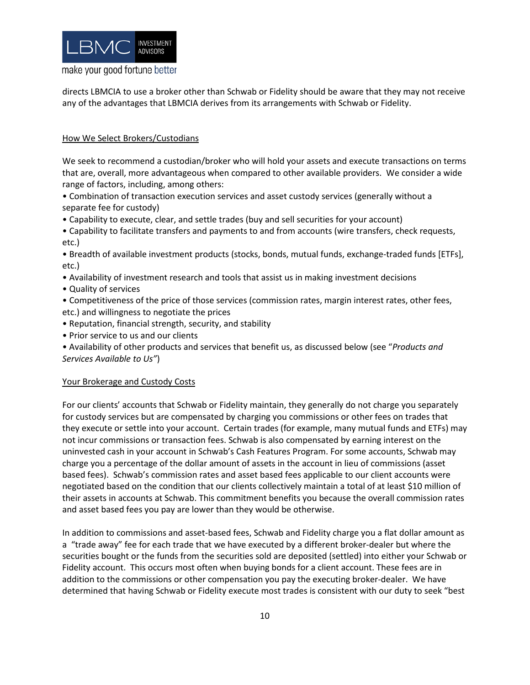

directs LBMCIA to use a broker other than Schwab or Fidelity should be aware that they may not receive any of the advantages that LBMCIA derives from its arrangements with Schwab or Fidelity.

#### How We Select Brokers/Custodians

We seek to recommend a custodian/broker who will hold your assets and execute transactions on terms that are, overall, more advantageous when compared to other available providers. We consider a wide range of factors, including, among others:

• Combination of transaction execution services and asset custody services (generally without a separate fee for custody)

• Capability to execute, clear, and settle trades (buy and sell securities for your account)

• Capability to facilitate transfers and payments to and from accounts (wire transfers, check requests, etc.)

• Breadth of available investment products (stocks, bonds, mutual funds, exchange-traded funds [ETFs], etc.)

- Availability of investment research and tools that assist us in making investment decisions
- Quality of services
- Competitiveness of the price of those services (commission rates, margin interest rates, other fees, etc.) and willingness to negotiate the prices
- Reputation, financial strength, security, and stability
- Prior service to us and our clients

• Availability of other products and services that benefit us, as discussed below (see "*Products and Services Available to Us"*)

#### Your Brokerage and Custody Costs

For our clients' accounts that Schwab or Fidelity maintain, they generally do not charge you separately for custody services but are compensated by charging you commissions or other fees on trades that they execute or settle into your account. Certain trades (for example, many mutual funds and ETFs) may not incur commissions or transaction fees. Schwab is also compensated by earning interest on the uninvested cash in your account in Schwab's Cash Features Program. For some accounts, Schwab may charge you a percentage of the dollar amount of assets in the account in lieu of commissions (asset based fees). Schwab's commission rates and asset based fees applicable to our client accounts were negotiated based on the condition that our clients collectively maintain a total of at least \$10 million of their assets in accounts at Schwab. This commitment benefits you because the overall commission rates and asset based fees you pay are lower than they would be otherwise.

In addition to commissions and asset-based fees, Schwab and Fidelity charge you a flat dollar amount as a "trade away" fee for each trade that we have executed by a different broker-dealer but where the securities bought or the funds from the securities sold are deposited (settled) into either your Schwab or Fidelity account. This occurs most often when buying bonds for a client account. These fees are in addition to the commissions or other compensation you pay the executing broker-dealer. We have determined that having Schwab or Fidelity execute most trades is consistent with our duty to seek "best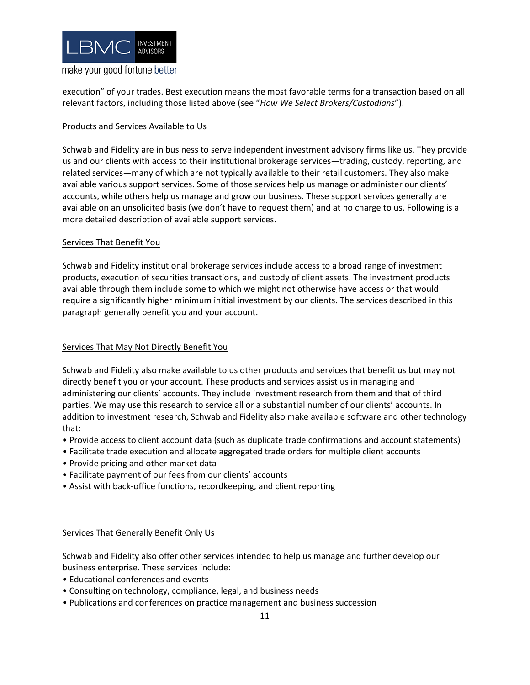

execution" of your trades. Best execution means the most favorable terms for a transaction based on all relevant factors, including those listed above (see "*How We Select Brokers/Custodians*").

#### Products and Services Available to Us

Schwab and Fidelity are in business to serve independent investment advisory firms like us. They provide us and our clients with access to their institutional brokerage services—trading, custody, reporting, and related services—many of which are not typically available to their retail customers. They also make available various support services. Some of those services help us manage or administer our clients' accounts, while others help us manage and grow our business. These support services generally are available on an unsolicited basis (we don't have to request them) and at no charge to us. Following is a more detailed description of available support services.

#### Services That Benefit You

Schwab and Fidelity institutional brokerage services include access to a broad range of investment products, execution of securities transactions, and custody of client assets. The investment products available through them include some to which we might not otherwise have access or that would require a significantly higher minimum initial investment by our clients. The services described in this paragraph generally benefit you and your account.

#### Services That May Not Directly Benefit You

Schwab and Fidelity also make available to us other products and services that benefit us but may not directly benefit you or your account. These products and services assist us in managing and administering our clients' accounts. They include investment research from them and that of third parties. We may use this research to service all or a substantial number of our clients' accounts. In addition to investment research, Schwab and Fidelity also make available software and other technology that:

- Provide access to client account data (such as duplicate trade confirmations and account statements)
- Facilitate trade execution and allocate aggregated trade orders for multiple client accounts
- Provide pricing and other market data
- Facilitate payment of our fees from our clients' accounts
- Assist with back-office functions, recordkeeping, and client reporting

#### Services That Generally Benefit Only Us

Schwab and Fidelity also offer other services intended to help us manage and further develop our business enterprise. These services include:

- Educational conferences and events
- Consulting on technology, compliance, legal, and business needs
- Publications and conferences on practice management and business succession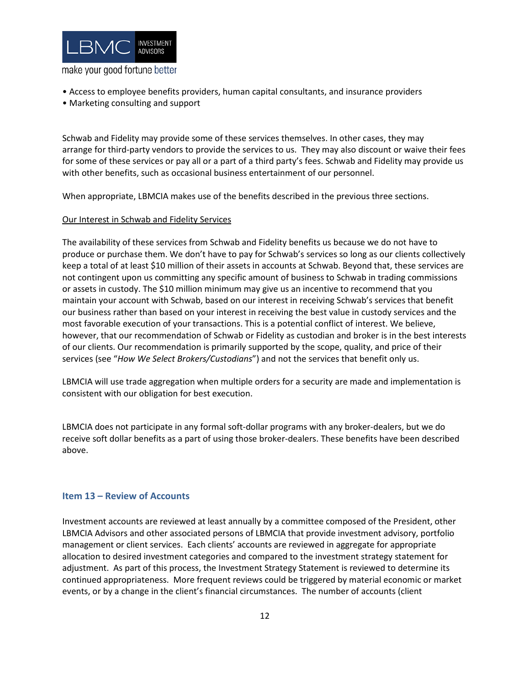

- Access to employee benefits providers, human capital consultants, and insurance providers
- Marketing consulting and support

Schwab and Fidelity may provide some of these services themselves. In other cases, they may arrange for third-party vendors to provide the services to us. They may also discount or waive their fees for some of these services or pay all or a part of a third party's fees. Schwab and Fidelity may provide us with other benefits, such as occasional business entertainment of our personnel.

When appropriate, LBMCIA makes use of the benefits described in the previous three sections.

#### Our Interest in Schwab and Fidelity Services

The availability of these services from Schwab and Fidelity benefits us because we do not have to produce or purchase them. We don't have to pay for Schwab's services so long as our clients collectively keep a total of at least \$10 million of their assets in accounts at Schwab. Beyond that, these services are not contingent upon us committing any specific amount of business to Schwab in trading commissions or assets in custody. The \$10 million minimum may give us an incentive to recommend that you maintain your account with Schwab, based on our interest in receiving Schwab's services that benefit our business rather than based on your interest in receiving the best value in custody services and the most favorable execution of your transactions. This is a potential conflict of interest. We believe, however, that our recommendation of Schwab or Fidelity as custodian and broker is in the best interests of our clients. Our recommendation is primarily supported by the scope, quality, and price of their services (see "*How We Select Brokers/Custodians*") and not the services that benefit only us.

LBMCIA will use trade aggregation when multiple orders for a security are made and implementation is consistent with our obligation for best execution.

<span id="page-14-0"></span>LBMCIA does not participate in any formal soft-dollar programs with any broker-dealers, but we do receive soft dollar benefits as a part of using those broker-dealers. These benefits have been described above.

#### **Item 13 – Review of Accounts**

Investment accounts are reviewed at least annually by a committee composed of the President, other LBMCIA Advisors and other associated persons of LBMCIA that provide investment advisory, portfolio management or client services. Each clients' accounts are reviewed in aggregate for appropriate allocation to desired investment categories and compared to the investment strategy statement for adjustment. As part of this process, the Investment Strategy Statement is reviewed to determine its continued appropriateness. More frequent reviews could be triggered by material economic or market events, or by a change in the client's financial circumstances. The number of accounts (client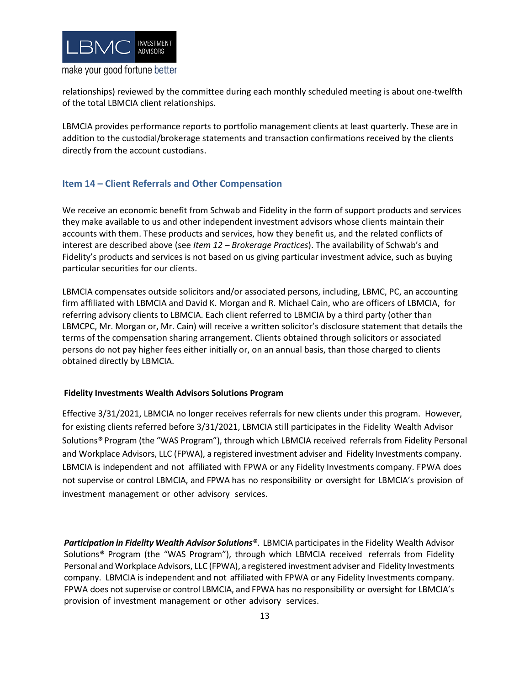

relationships) reviewed by the committee during each monthly scheduled meeting is about one-twelfth of the total LBMCIA client relationships.

LBMCIA provides performance reports to portfolio management clients at least quarterly. These are in addition to the custodial/brokerage statements and transaction confirmations received by the clients directly from the account custodians.

# <span id="page-15-0"></span>**Item 14 – Client Referrals and Other Compensation**

We receive an economic benefit from Schwab and Fidelity in the form of support products and services they make available to us and other independent investment advisors whose clients maintain their accounts with them. These products and services, how they benefit us, and the related conflicts of interest are described above (see *Item 12 – Brokerage Practices*). The availability of Schwab's and Fidelity's products and services is not based on us giving particular investment advice, such as buying particular securities for our clients.

LBMCIA compensates outside solicitors and/or associated persons, including, LBMC, PC, an accounting firm affiliated with LBMCIA and David K. Morgan and R. Michael Cain, who are officers of LBMCIA, for referring advisory clients to LBMCIA. Each client referred to LBMCIA by a third party (other than LBMCPC, Mr. Morgan or, Mr. Cain) will receive a written solicitor's disclosure statement that details the terms of the compensation sharing arrangement. Clients obtained through solicitors or associated persons do not pay higher fees either initially or, on an annual basis, than those charged to clients obtained directly by LBMCIA.

#### **Fidelity Investments Wealth Advisors Solutions Program**

Effective 3/31/2021, LBMCIA no longer receives referrals for new clients under this program. However, for existing clients referred before 3/31/2021, LBMCIA still participates in the Fidelity Wealth Advisor Solutions*®* Program (the "WAS Program"), through which LBMCIA received referrals from Fidelity Personal and Workplace Advisors, LLC (FPWA), a registered investment adviser and Fidelity Investments company. LBMCIA is independent and not affiliated with FPWA or any Fidelity Investments company. FPWA does not supervise or control LBMCIA, and FPWA has no responsibility or oversight for LBMCIA's provision of investment management or other advisory services.

*Participation in Fidelity Wealth Advisor Solutions®*. LBMCIA participates in the Fidelity Wealth Advisor Solutions*®* Program (the "WAS Program"), through which LBMCIA received referrals from Fidelity Personal and Workplace Advisors, LLC (FPWA), a registered investment adviser and Fidelity Investments company. LBMCIA is independent and not affiliated with FPWA or any Fidelity Investments company. FPWA does not supervise or control LBMCIA, and FPWA has no responsibility or oversight for LBMCIA's provision of investment management or other advisory services.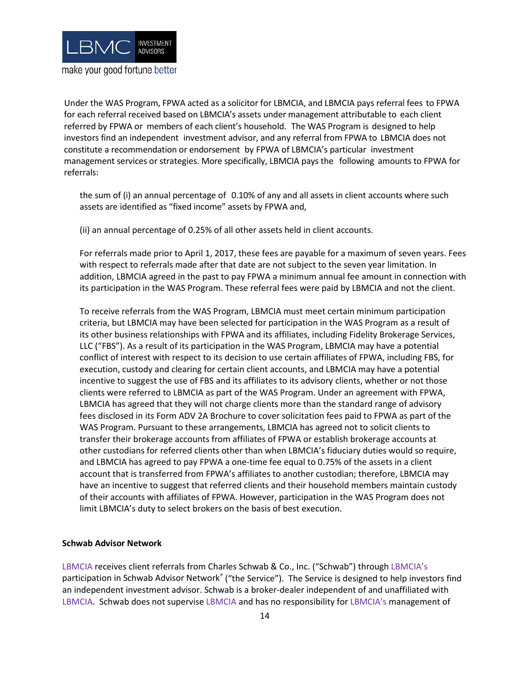

Under the WAS Program, FPWA acted as a solicitor for LBMCIA, and LBMCIA pays referral fees to FPWA for each referral received based on LBMCIA's assets under management attributable to each client referred by FPWA or members of each client's household. The WAS Program is designed to help investors find an independent investment advisor, and any referral from FPWA to LBMCIA does not constitute a recommendation or endorsement by FPWA of LBMCIA's particular investment management services or strategies. More specifically, LBMCIA pays the following amounts to FPWA for referrals:

the sum of (i) an annual percentage of 0.10% of any and all assets in client accounts where such assets are identified as "fixed income" assets by FPWA and,

(ii) an annual percentage of 0.25% of all other assets held in client accounts.

For referrals made prior to April 1, 2017, these fees are payable for a maximum of seven years. Fees with respect to referrals made after that date are not subject to the seven year limitation. In addition, LBMCIA agreed in the past to pay FPWA a minimum annual fee amount in connection with its participation in the WAS Program. These referral fees were paid by LBMCIA and not the client.

To receive referrals from the WAS Program, LBMCIA must meet certain minimum participation criteria, but LBMCIA may have been selected for participation in the WAS Program as a result of its other business relationships with FPWA and its affiliates, including Fidelity Brokerage Services, LLC ("FBS"). As a result of its participation in the WAS Program, LBMCIA may have a potential conflict of interest with respect to its decision to use certain affiliates of FPWA, including FBS, for execution, custody and clearing for certain client accounts, and LBMCIA may have a potential incentive to suggest the use of FBS and its affiliates to its advisory clients, whether or not those clients were referred to LBMCIA as part of the WAS Program. Under an agreement with FPWA, LBMCIA has agreed that they will not charge clients more than the standard range of advisory fees disclosed in its Form ADV 2A Brochure to cover solicitation fees paid to FPWA as part of the WAS Program. Pursuant to these arrangements, LBMCIA has agreed not to solicit clients to transfer their brokerage accounts from affiliates of FPWA or establish brokerage accounts at other custodians for referred clients other than when LBMCIA's fiduciary duties would so require, and LBMCIA has agreed to pay FPWA a one-time fee equal to 0.75% of the assets in a client account that is transferred from FPWA's affiliates to another custodian; therefore, LBMCIA may have an incentive to suggest that referred clients and their household members maintain custody of their accounts with affiliates of FPWA. However, participation in the WAS Program does not limit LBMCIA's duty to select brokers on the basis of best execution.

#### **Schwab Advisor Network**

LBMCIA receives client referrals from Charles Schwab & Co., Inc. ("Schwab") through LBMCIA's participation in Schwab Advisor Network® ("the Service"). The Service is designed to help investors find an independent investment advisor. Schwab is a broker-dealer independent of and unaffiliated with LBMCIA. Schwab does not supervise LBMCIA and has no responsibility for LBMCIA's management of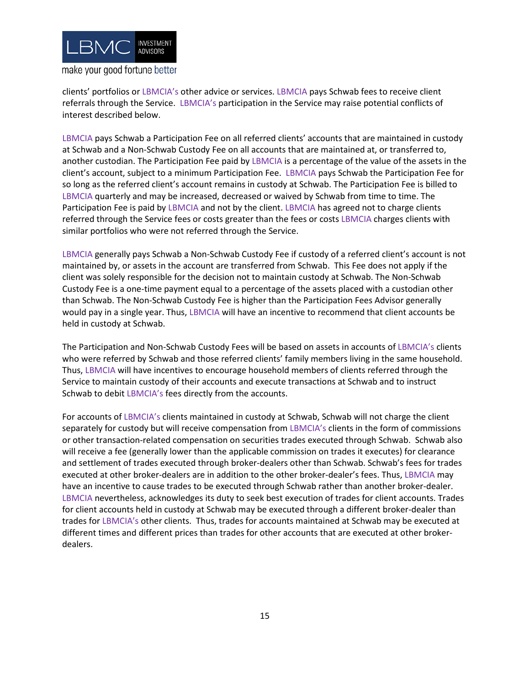

**make your good fortune better** 

clients' portfolios or LBMCIA's other advice or services. LBMCIA pays Schwab fees to receive client referrals through the Service. LBMCIA's participation in the Service may raise potential conflicts of interest described below.

LBMCIA pays Schwab a Participation Fee on all referred clients' accounts that are maintained in custody at Schwab and a Non-Schwab Custody Fee on all accounts that are maintained at, or transferred to, another custodian. The Participation Fee paid by LBMCIA is a percentage of the value of the assets in the client's account, subject to a minimum Participation Fee. LBMCIA pays Schwab the Participation Fee for so long as the referred client's account remains in custody at Schwab. The Participation Fee is billed to LBMCIA quarterly and may be increased, decreased or waived by Schwab from time to time. The Participation Fee is paid by LBMCIA and not by the client. LBMCIA has agreed not to charge clients referred through the Service fees or costs greater than the fees or costs LBMCIA charges clients with similar portfolios who were not referred through the Service.

LBMCIA generally pays Schwab a Non-Schwab Custody Fee if custody of a referred client's account is not maintained by, or assets in the account are transferred from Schwab. This Fee does not apply if the client was solely responsible for the decision not to maintain custody at Schwab. The Non-Schwab Custody Fee is a one-time payment equal to a percentage of the assets placed with a custodian other than Schwab. The Non-Schwab Custody Fee is higher than the Participation Fees Advisor generally would pay in a single year. Thus, LBMCIA will have an incentive to recommend that client accounts be held in custody at Schwab.

The Participation and Non-Schwab Custody Fees will be based on assets in accounts of LBMCIA's clients who were referred by Schwab and those referred clients' family members living in the same household. Thus, LBMCIA will have incentives to encourage household members of clients referred through the Service to maintain custody of their accounts and execute transactions at Schwab and to instruct Schwab to debit LBMCIA's fees directly from the accounts.

For accounts of LBMCIA's clients maintained in custody at Schwab, Schwab will not charge the client separately for custody but will receive compensation from LBMCIA's clients in the form of commissions or other transaction-related compensation on securities trades executed through Schwab. Schwab also will receive a fee (generally lower than the applicable commission on trades it executes) for clearance and settlement of trades executed through broker-dealers other than Schwab. Schwab's fees for trades executed at other broker-dealers are in addition to the other broker-dealer's fees. Thus, LBMCIA may have an incentive to cause trades to be executed through Schwab rather than another broker-dealer. LBMCIA nevertheless, acknowledges its duty to seek best execution of trades for client accounts. Trades for client accounts held in custody at Schwab may be executed through a different broker-dealer than trades for LBMCIA's other clients. Thus, trades for accounts maintained at Schwab may be executed at different times and different prices than trades for other accounts that are executed at other brokerdealers.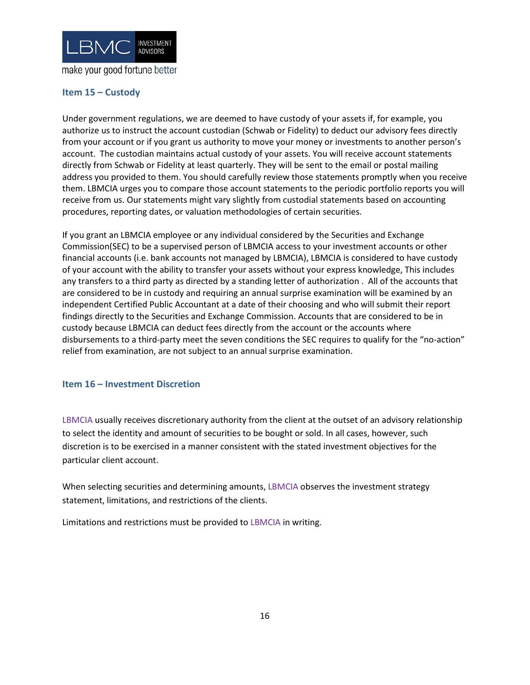

# <span id="page-18-0"></span>**Item 15 – Custody**

Under government regulations, we are deemed to have custody of your assets if, for example, you authorize us to instruct the account custodian (Schwab or Fidelity) to deduct our advisory fees directly from your account or if you grant us authority to move your money or investments to another person's account. The custodian maintains actual custody of your assets. You will receive account statements directly from Schwab or Fidelity at least quarterly. They will be sent to the email or postal mailing address you provided to them. You should carefully review those statements promptly when you receive them. LBMCIA urges you to compare those account statements to the periodic portfolio reports you will receive from us. Our statements might vary slightly from custodial statements based on accounting procedures, reporting dates, or valuation methodologies of certain securities.

If you grant an LBMCIA employee or any individual considered by the Securities and Exchange Commission(SEC) to be a supervised person of LBMCIA access to your investment accounts or other financial accounts (i.e. bank accounts not managed by LBMCIA), LBMCIA is considered to have custody of your account with the ability to transfer your assets without your express knowledge, This includes any transfers to a third party as directed by a standing letter of authorization . All of the accounts that are considered to be in custody and requiring an annual surprise examination will be examined by an independent Certified Public Accountant at a date of their choosing and who will submit their report findings directly to the Securities and Exchange Commission. Accounts that are considered to be in custody because LBMCIA can deduct fees directly from the account or the accounts where disbursements to a third-party meet the seven conditions the SEC requires to qualify for the "no-action" relief from examination, are not subject to an annual surprise examination.

#### <span id="page-18-1"></span>**Item 16 – Investment Discretion**

LBMCIA usually receives discretionary authority from the client at the outset of an advisory relationship to select the identity and amount of securities to be bought or sold. In all cases, however, such discretion is to be exercised in a manner consistent with the stated investment objectives for the particular client account.

When selecting securities and determining amounts, LBMCIA observes the investment strategy statement, limitations, and restrictions of the clients.

<span id="page-18-2"></span>Limitations and restrictions must be provided to LBMCIA in writing.